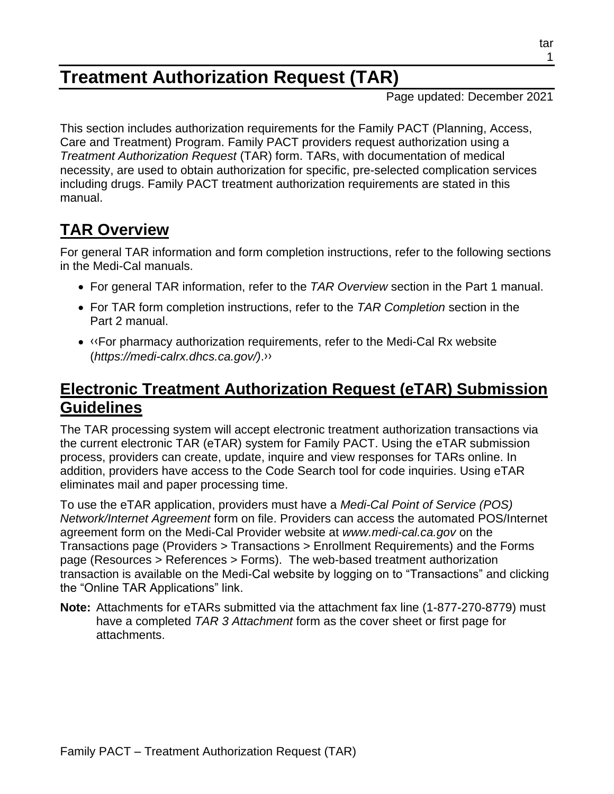# **Treatment Authorization Request (TAR)**

Page updated: December 2021

This section includes authorization requirements for the Family PACT (Planning, Access, Care and Treatment) Program. Family PACT providers request authorization using a *Treatment Authorization Request* (TAR) form. TARs, with documentation of medical necessity, are used to obtain authorization for specific, pre-selected complication services including drugs. Family PACT treatment authorization requirements are stated in this manual.

# **TAR Overview**

For general TAR information and form completion instructions, refer to the following sections in the Medi-Cal manuals.

- For general TAR information, refer to the *TAR Overview* section in the Part 1 manual.
- For TAR form completion instructions, refer to the *TAR Completion* section in the Part 2 manual.
- [‹‹F](#page-4-0)or pharmacy authorization requirements, refer to the Medi-Cal Rx website (*https://medi-calrx.dhcs.ca.gov/)*[.››](#page-4-1)

#### **Electronic Treatment Authorization Request (eTAR) Submission Guidelines**

The TAR processing system will accept electronic treatment authorization transactions via the current electronic TAR (eTAR) system for Family PACT. Using the eTAR submission process, providers can create, update, inquire and view responses for TARs online. In addition, providers have access to the Code Search tool for code inquiries. Using eTAR eliminates mail and paper processing time.

To use the eTAR application, providers must have a *Medi-Cal Point of Service (POS) Network/Internet Agreement* form on file. Providers can access the automated POS/Internet agreement form on the Medi-Cal Provider website at *www.medi-cal.ca.gov* on the Transactions page (Providers > Transactions > Enrollment Requirements) and the Forms page (Resources > References > Forms). The web-based treatment authorization transaction is available on the Medi-Cal website by logging on to "Transactions" and clicking the "Online TAR Applications" link.

**Note:** Attachments for eTARs submitted via the attachment fax line (1-877-270-8779) must have a completed *TAR 3 Attachment* form as the cover sheet or first page for attachments.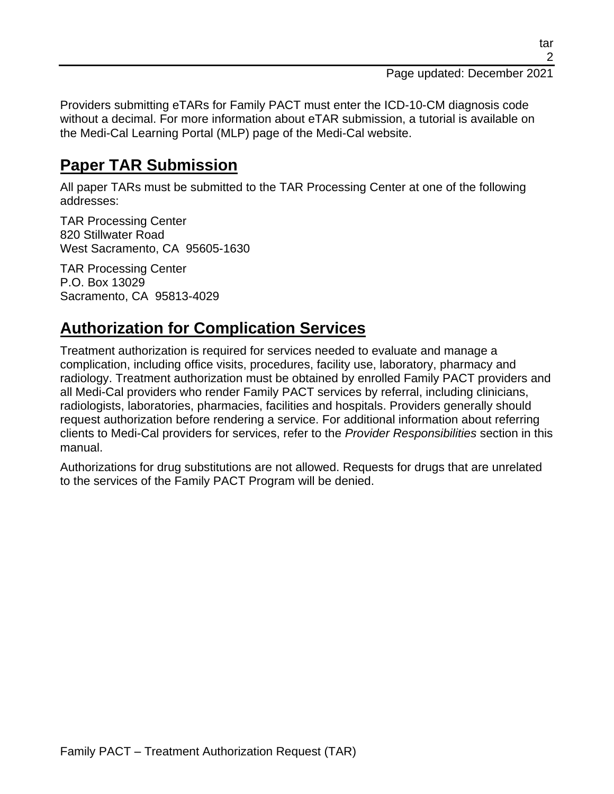Page updated: December 2021

Providers submitting eTARs for Family PACT must enter the ICD-10-CM diagnosis code without a decimal. For more information about eTAR submission, a tutorial is available on the Medi-Cal Learning Portal (MLP) page of the Medi-Cal website.

#### **Paper TAR Submission**

All paper TARs must be submitted to the TAR Processing Center at one of the following addresses:

TAR Processing Center 820 Stillwater Road West Sacramento, CA 95605-1630

TAR Processing Center P.O. Box 13029 Sacramento, CA 95813-4029

### **Authorization for Complication Services**

Treatment authorization is required for services needed to evaluate and manage a complication, including office visits, procedures, facility use, laboratory, pharmacy and radiology. Treatment authorization must be obtained by enrolled Family PACT providers and all Medi-Cal providers who render Family PACT services by referral, including clinicians, radiologists, laboratories, pharmacies, facilities and hospitals. Providers generally should request authorization before rendering a service. For additional information about referring clients to Medi-Cal providers for services, refer to the *Provider Responsibilities* section in this manual.

Authorizations for drug substitutions are not allowed. Requests for drugs that are unrelated to the services of the Family PACT Program will be denied.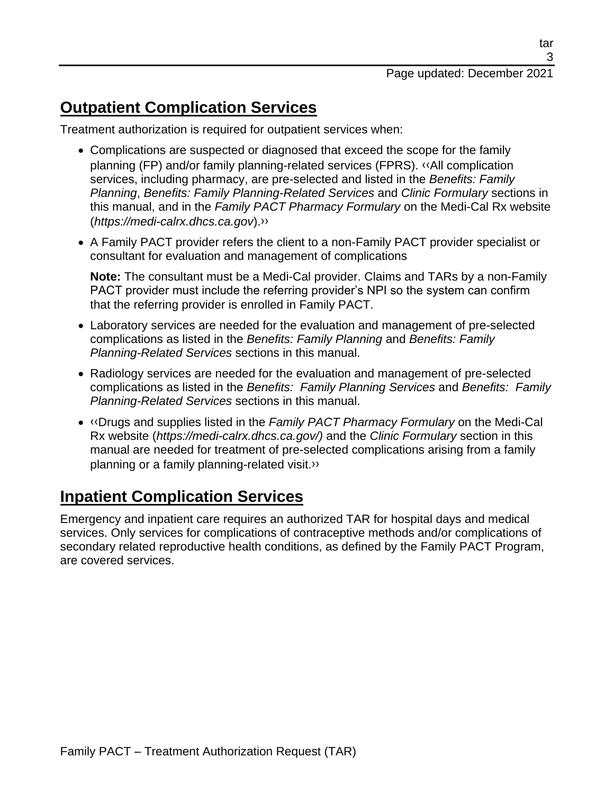tar

### **Outpatient Complication Services**

Treatment authorization is required for outpatient services when:

- Complications are suspected or diagnosed that exceed the scope for the family planning (FP) and/or family planning-related services (FPRS). [‹‹A](#page-4-0)ll complication services, including pharmacy, are pre-selected and listed in the *Benefits: Family Planning*, *Benefits: Family Planning-Related Services* and *Clinic Formulary* sections in this manual, and in the *Family PACT Pharmacy Formulary* on the Medi-Cal Rx website (*https://medi-calrx.dhcs.ca.gov*)[.››](#page-4-1)
- A Family PACT provider refers the client to a non-Family PACT provider specialist or consultant for evaluation and management of complications

**Note:** The consultant must be a Medi-Cal provider. Claims and TARs by a non-Family PACT provider must include the referring provider's NPI so the system can confirm that the referring provider is enrolled in Family PACT.

- Laboratory services are needed for the evaluation and management of pre-selected complications as listed in the *Benefits: Family Planning* and *Benefits: Family Planning-Related Services* sections in this manual.
- Radiology services are needed for the evaluation and management of pre-selected complications as listed in the *Benefits: Family Planning Services* and *Benefits: Family Planning-Related Services* sections in this manual.
- [‹‹D](#page-4-0)rugs and supplies listed in the *Family PACT Pharmacy Formulary* on the Medi-Cal Rx website (*https://medi-calrx.dhcs.ca.gov/)* and the *Clinic Formulary* section in this manual are needed for treatment of pre-selected complications arising from a family planning or a family planning-related visit[.››](#page-4-1)

# **Inpatient Complication Services**

Emergency and inpatient care requires an authorized TAR for hospital days and medical services. Only services for complications of contraceptive methods and/or complications of secondary related reproductive health conditions, as defined by the Family PACT Program, are covered services.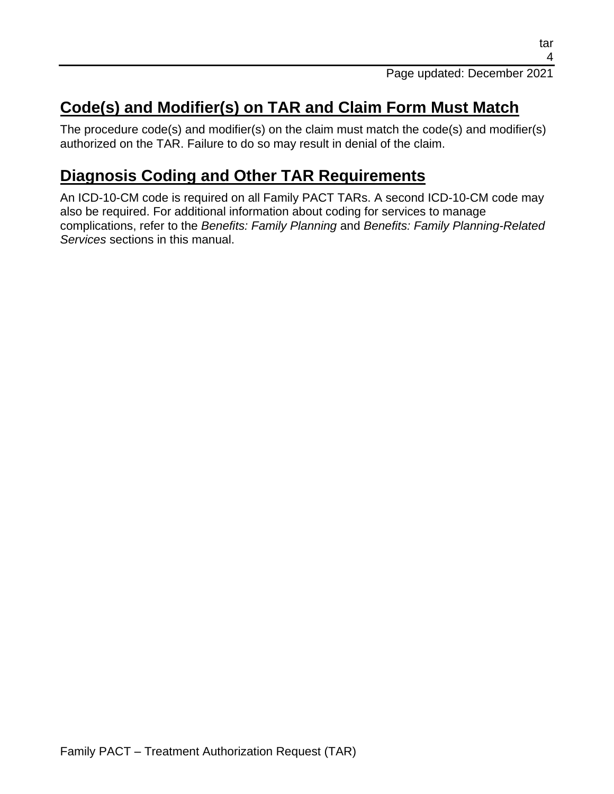# **Code(s) and Modifier(s) on TAR and Claim Form Must Match**

The procedure code(s) and modifier(s) on the claim must match the code(s) and modifier(s) authorized on the TAR. Failure to do so may result in denial of the claim.

### **Diagnosis Coding and Other TAR Requirements**

An ICD-10-CM code is required on all Family PACT TARs. A second ICD-10-CM code may also be required. For additional information about coding for services to manage complications, refer to the *Benefits: Family Planning* and *Benefits: Family Planning-Related Services* sections in this manual.